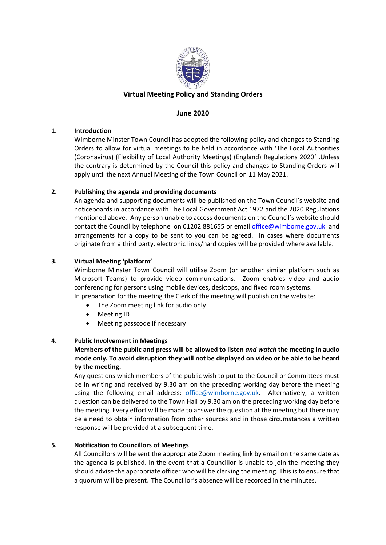

# **Virtual Meeting Policy and Standing Orders**

## **June 2020**

#### **1. Introduction**

Wimborne Minster Town Council has adopted the following policy and changes to Standing Orders to allow for virtual meetings to be held in accordance with 'The Local Authorities (Coronavirus) (Flexibility of Local Authority Meetings) (England) Regulations 2020' .Unless the contrary is determined by the Council this policy and changes to Standing Orders will apply until the next Annual Meeting of the Town Council on 11 May 2021.

#### **2. Publishing the agenda and providing documents**

An agenda and supporting documents will be published on the Town Council's website and noticeboards in accordance with The Local Government Act 1972 and the 2020 Regulations mentioned above. Any person unable to access documents on the Council's website should contact the Council by telephone on 01202 881655 or email [office@wimborne.gov.uk](mailto:office@wimborne.gov.uk) and arrangements for a copy to be sent to you can be agreed. In cases where documents originate from a third party, electronic links/hard copies will be provided where available.

#### **3. Virtual Meeting 'platform'**

Wimborne Minster Town Council will utilise Zoom (or another similar platform such as Microsoft Teams) to provide video communications. Zoom enables video and audio conferencing for persons using mobile devices, desktops, and fixed room systems.

In preparation for the meeting the Clerk of the meeting will publish on the website:

- The Zoom meeting link for audio only
- Meeting ID
- Meeting passcode if necessary

## **4. Public Involvement in Meetings**

## **Members of the public and press will be allowed to listen** *and watch* **the meeting in audio mode only. To avoid disruption they will not be displayed on video or be able to be heard by the meeting.**

Any questions which members of the public wish to put to the Council or Committees must be in writing and received by 9.30 am on the preceding working day before the meeting using the following email address: [office@wimborne.gov.uk.](mailto:office@wimborne.gov.uk) Alternatively, a written question can be delivered to the Town Hall by 9.30 am on the preceding working day before the meeting. Every effort will be made to answer the question at the meeting but there may be a need to obtain information from other sources and in those circumstances a written response will be provided at a subsequent time.

## **5. Notification to Councillors of Meetings**

All Councillors will be sent the appropriate Zoom meeting link by email on the same date as the agenda is published. In the event that a Councillor is unable to join the meeting they should advise the appropriate officer who will be clerking the meeting. This is to ensure that a quorum will be present. The Councillor's absence will be recorded in the minutes.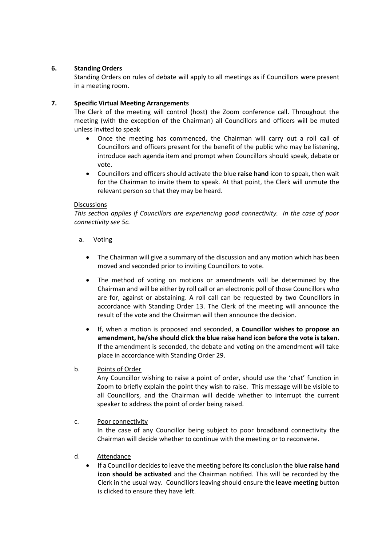## **6. Standing Orders**

Standing Orders on rules of debate will apply to all meetings as if Councillors were present in a meeting room.

## **7. Specific Virtual Meeting Arrangements**

The Clerk of the meeting will control (host) the Zoom conference call. Throughout the meeting (with the exception of the Chairman) all Councillors and officers will be muted unless invited to speak

- Once the meeting has commenced, the Chairman will carry out a roll call of Councillors and officers present for the benefit of the public who may be listening, introduce each agenda item and prompt when Councillors should speak, debate or vote.
- Councillors and officers should activate the blue **raise hand** icon to speak, then wait for the Chairman to invite them to speak. At that point, the Clerk will unmute the relevant person so that they may be heard.

#### Discussions

*This section applies if Councillors are experiencing good connectivity. In the case of poor connectivity see 5c.*

- a. Voting
	- The Chairman will give a summary of the discussion and any motion which has been moved and seconded prior to inviting Councillors to vote.
	- The method of voting on motions or amendments will be determined by the Chairman and will be either by roll call or an electronic poll of those Councillors who are for, against or abstaining. A roll call can be requested by two Councillors in accordance with Standing Order 13. The Clerk of the meeting will announce the result of the vote and the Chairman will then announce the decision.
	- If, when a motion is proposed and seconded, **a Councillor wishes to propose an amendment, he/she should click the blue raise hand icon before the vote is taken**. If the amendment is seconded, the debate and voting on the amendment will take place in accordance with Standing Order 29.

## b. Points of Order

Any Councillor wishing to raise a point of order, should use the 'chat' function in Zoom to briefly explain the point they wish to raise. This message will be visible to all Councillors, and the Chairman will decide whether to interrupt the current speaker to address the point of order being raised.

#### c. Poor connectivity

In the case of any Councillor being subject to poor broadband connectivity the Chairman will decide whether to continue with the meeting or to reconvene.

## d. Attendance

• If a Councillor decides to leave the meeting before its conclusion the **blue raise hand icon should be activated** and the Chairman notified. This will be recorded by the Clerk in the usual way. Councillors leaving should ensure the **leave meeting** button is clicked to ensure they have left.